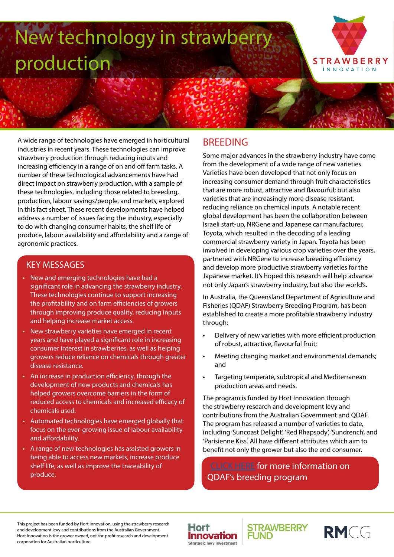# New technology in strawberry production



A wide range of technologies have emerged in horticultural industries in recent years. These technologies can improve strawberry production through reducing inputs and increasing efficiency in a range of on and off farm tasks. A number of these technological advancements have had direct impact on strawberry production, with a sample of these technologies, including those related to breeding, production, labour savings/people, and markets, explored in this fact sheet. These recent developments have helped address a number of issues facing the industry, especially to do with changing consumer habits, the shelf life of produce, labour availability and affordability and a range of agronomic practices.

#### KEY MESSAGES

- New and emerging technologies have had a significant role in advancing the strawberry industry. These technologies continue to support increasing the profitability and on farm efficiencies of growers through improving produce quality, reducing inputs and helping increase market access.
- New strawberry varieties have emerged in recent years and have played a significant role in increasing consumer interest in strawberries, as well as helping growers reduce reliance on chemicals through greater disease resistance.
- An increase in production efficiency, through the development of new products and chemicals has helped growers overcome barriers in the form of reduced access to chemicals and increased efficacy of chemicals used.
- Automated technologies have emerged globally that focus on the ever-growing issue of labour availability and affordability.
- A range of new technologies has assisted growers in being able to access new markets, increase produce shelf life, as well as improve the traceability of produce.

## **BREEDING**

Some major advances in the strawberry industry have come from the development of a wide range of new varieties. Varieties have been developed that not only focus on increasing consumer demand through fruit characteristics that are more robust, attractive and flavourful; but also varieties that are increasingly more disease resistant, reducing reliance on chemical inputs. A notable recent global development has been the collaboration between Israeli start-up, NRGene and Japanese car manufacturer, Toyota, which resulted in the decoding of a leading commercial strawberry variety in Japan. Toyota has been involved in developing various crop varieties over the years, partnered with NRGene to increase breeding efficiency and develop more productive strawberry varieties for the Japanese market. It's hoped this research will help advance not only Japan's strawberry industry, but also the world's.

In Australia, the Queensland Department of Agriculture and Fisheries (QDAF) Strawberry Breeding Program, has been established to create a more profitable strawberry industry through:

- Delivery of new varieties with more efficient production of robust, attractive, flavourful fruit;
- Meeting changing market and environmental demands; and
- Targeting temperate, subtropical and Mediterranean production areas and needs.

The program is funded by Hort Innovation through the strawberry research and development levy and contributions from the Australian Government and QDAF. The program has released a number of varieties to date, including 'Suncoast Delight', 'Red Rhapsody', 'Sundrench', and 'Parisienne Kiss'. All have different attributes which aim to benefit not only the grower but also the end consumer.

[CLICK HERE](https://www.horticulture.com.au/globalassets/laserfiche/assets/project-reports/bs12021/bs12021---final-report-complete.pdf) for more information on QDAF's breeding program

This project has been funded by Hort Innovation, using the strawberry research and development levy and contributions from the Australian Government. Hort Innovation is the grower owned, not-for-profit research and development corporation for Australian horticulture.





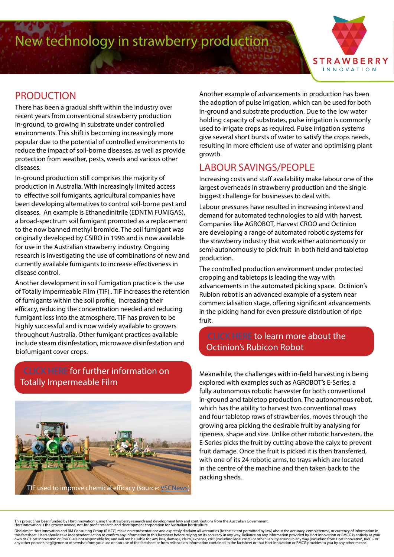New technology in strawberry production



## **PRODUCTION**

There has been a gradual shift within the industry over recent years from conventional strawberry production in-ground, to growing in substrate under controlled environments. This shift is becoming increasingly more popular due to the potential of controlled environments to reduce the impact of soil-borne diseases, as well as provide protection from weather, pests, weeds and various other diseases.

In-ground production still comprises the majority of production in Australia. With increasingly limited access to effective soil fumigants, agricultural companies have been developing alternatives to control soil-borne pest and diseases. An example is Ethanedinitrile (EDNTM FUMIGAS), a broad-spectrum soil fumigant promoted as a replacement to the now banned methyl bromide. The soil fumigant was originally developed by CSIRO in 1996 and is now available for use in the Australian strawberry industry. Ongoing research is investigating the use of combinations of new and currently available fumigants to increase effectiveness in disease control.

Another development in soil fumigation practice is the use of Totally Impermeable Film (TIF) . TIF increases the retention of fumigants within the soil profile, increasing their efficacy, reducing the concentration needed and reducing fumigant loss into the atmosphere. TIF has proven to be highly successful and is now widely available to growers throughout Australia. Other fumigant practices available include steam disinfestation, microwave disinfestation and biofumigant cover crops.

#### [CLICK HERE](http://calag.ucanr.edu/Archive/?article=ca.E.v065n04p211) for further information on Totally Impermeable Film



Another example of advancements in production has been the adoption of pulse irrigation, which can be used for both in-ground and substrate production. Due to the low water holding capacity of substrates, pulse irrigation is commonly used to irrigate crops as required. Pulse irrigation systems give several short bursts of water to satisfy the crops needs, resulting in more efficient use of water and optimising plant growth.

## LABOUR SAVINGS/PEOPLE

Increasing costs and staff availability make labour one of the largest overheads in strawberry production and the single biggest challenge for businesses to deal with.

Labour pressures have resulted in increasing interest and demand for automated technologies to aid with harvest. Companies like AGROBOT, Harvest CROO and Octinion are developing a range of automated robotic systems for the strawberry industry that work either autonomously or semi-autonomously to pick fruit in both field and tabletop production.

The controlled production environment under protected cropping and tabletops is leading the way with advancements in the automated picking space. Octinion's Rubion robot is an advanced example of a system near commercialisation stage, offering significant advancements in the picking hand for even pressure distribution of ripe fruit.

#### [CLICK HERE](https://picking.technology) to learn more about the Octinion's Rubicon Robot

Meanwhile, the challenges with in-field harvesting is being explored with examples such as AGROBOT's E-Series, a fully autonomous robotic harvester for both conventional in-ground and tabletop production. The autonomous robot, which has the ability to harvest two conventional rows and four tabletop rows of strawberries, moves through the growing area picking the desirable fruit by analysing for ripeness, shape and size. Unlike other robotic harvesters, the E-Series picks the fruit by cutting above the calyx to prevent fruit damage. Once the fruit is picked it is then transferred, with one of its 24 robotic arms, to trays which are located in the centre of the machine and then taken back to the packing sheds.

This project has been funded by Hort Innovation, using the strawberry research and development levy and contributions from the Australian Government.<br>Hort Innovation is the grower owned, not-for-profit research and develop

Disclaimer: Hort Innovation and RM Consulting Group (RMCG) make no representations and expressly disclaim all warranties (to the extent permitted by law) about the accuracy, completeness, or currency of information in<br>this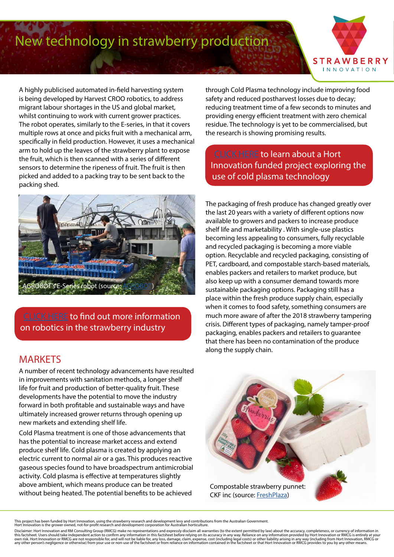## New technology in strawberry production



A highly publicised automated in-field harvesting system is being developed by Harvest CROO robotics, to address migrant labour shortages in the US and global market, whilst continuing to work with current grower practices. The robot operates, similarly to the E-series, in that it covers multiple rows at once and picks fruit with a mechanical arm, specifically in field production. However, it uses a mechanical arm to hold up the leaves of the strawberry plant to expose the fruit, which is then scanned with a series of different sensors to determine the ripeness of fruit. The fruit is then picked and added to a packing tray to be sent back to the packing shed.



[CLICK HERE](https://www.newyorker.com/magazine/2019/04/15/the-age-of-robot-farmers) to find out more information on robotics in the strawberry industry

#### **MARKETS**

A number of recent technology advancements have resulted in improvements with sanitation methods, a longer shelf life for fruit and production of better-quality fruit. These developments have the potential to move the industry forward in both profitable and sustainable ways and have ultimately increased grower returns through opening up new markets and extending shelf life.

Cold Plasma treatment is one of those advancements that has the potential to increase market access and extend produce shelf life. Cold plasma is created by applying an electric current to normal air or a gas. This produces reactive gaseous species found to have broadspectrum antimicrobial activity. Cold plasma is effective at temperatures slightly above ambient, which means produce can be treated without being heated. The potential benefits to be achieved

through Cold Plasma technology include improving food safety and reduced postharvest losses due to decay; reducing treatment time of a few seconds to minutes and providing energy efficient treatment with zero chemical residue. The technology is yet to be commercialised, but the research is showing promising results.

[CLICK HERE](https://www.coldplasma.net.au/) to learn about a Hort Innovation funded project exploring the use of cold plasma technology

The packaging of fresh produce has changed greatly over the last 20 years with a variety of different options now available to growers and packers to increase produce shelf life and marketability . With single-use plastics becoming less appealing to consumers, fully recyclable and recycled packaging is becoming a more viable option. Recyclable and recycled packaging, consisting of PET, cardboard, and compostable starch-based materials, enables packers and retailers to market produce, but also keep up with a consumer demand towards more sustainable packaging options. Packaging still has a place within the fresh produce supply chain, especially when it comes to food safety, something consumers are much more aware of after the 2018 strawberry tampering crisis. Different types of packaging, namely tamper-proof packaging, enables packers and retailers to guarantee that there has been no contamination of the produce along the supply chain.



This project has been funded by Hort Innovation, using the strawberry research and development levy and contributions from the Australian Government.<br>Hort Innovation is the grower owned, not-for-profit research and develop

Disclaimer: Hort Innovation and RM Consulting Group (RMCG) make no representations and expressly disclaim all warranties (to the extent permitted by law) about the accuracy, completeness, or currency of information in<br>this